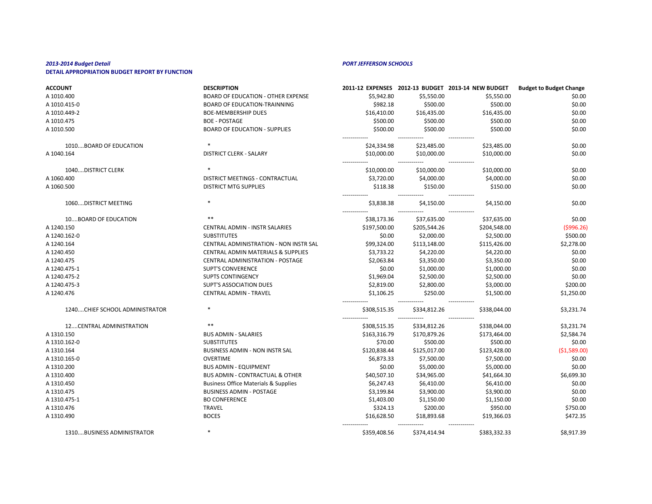| <b>ACCOUNT</b>                  | <b>DESCRIPTION</b>                              |                              |                              | 2011-12 EXPENSES 2012-13 BUDGET 2013-14 NEW BUDGET | <b>Budget to Budget Change</b> |
|---------------------------------|-------------------------------------------------|------------------------------|------------------------------|----------------------------------------------------|--------------------------------|
| A 1010.400                      | <b>BOARD OF EDUCATION - OTHER EXPENSE</b>       | \$5,942.80                   | \$5,550.00                   | \$5,550.00                                         | \$0.00                         |
| A 1010.415-0                    | <b>BOARD OF EDUCATION-TRAINNING</b>             | \$982.18                     | \$500.00                     | \$500.00                                           | \$0.00                         |
| A 1010.449-2                    | <b>BOE-MEMBERSHIP DUES</b>                      | \$16,410.00                  | \$16,435.00                  | \$16,435.00                                        | \$0.00                         |
| A 1010.475                      | <b>BOE - POSTAGE</b>                            | \$500.00                     | \$500.00                     | \$500.00                                           | \$0.00                         |
| A 1010.500                      | <b>BOARD OF EDUCATION - SUPPLIES</b>            | \$500.00                     | \$500.00                     | \$500.00                                           | \$0.00                         |
| 1010BOARD OF EDUCATION          |                                                 | -------------<br>\$24,334.98 | -------------<br>\$23,485.00 | -------------<br>\$23,485.00                       | \$0.00                         |
| A 1040.164                      | <b>DISTRICT CLERK - SALARY</b>                  | \$10,000.00                  | \$10,000.00                  | \$10,000.00                                        | \$0.00                         |
| 1040DISTRICT CLERK              |                                                 | \$10,000.00                  | \$10,000.00                  | \$10,000.00                                        | \$0.00                         |
| A 1060.400                      | DISTRICT MEETINGS - CONTRACTUAL                 | \$3,720.00                   | \$4,000.00                   | \$4,000.00                                         | \$0.00                         |
| A 1060.500                      | <b>DISTRICT MTG SUPPLIES</b>                    | \$118.38                     | \$150.00                     | \$150.00                                           | \$0.00                         |
| 1060 DISTRICT MEETING           | $\ast$                                          | \$3,838.38                   | \$4,150.00                   | \$4,150.00                                         | \$0.00                         |
| 10BOARD OF EDUCATION            | $***$                                           | ------------<br>\$38,173.36  | \$37,635.00                  | \$37,635.00                                        | \$0.00                         |
| A 1240.150                      | <b>CENTRAL ADMIN - INSTR SALARIES</b>           | \$197,500.00                 | \$205,544.26                 | \$204,548.00                                       | ( \$996.26)                    |
| A 1240.162-0                    | <b>SUBSTITUTES</b>                              | \$0.00                       | \$2,000.00                   | \$2,500.00                                         | \$500.00                       |
| A 1240.164                      | CENTRAL ADMINISTRATION - NON INSTR SAL          | \$99,324.00                  | \$113,148.00                 | \$115,426.00                                       | \$2,278.00                     |
| A 1240.450                      | <b>CENTRAL ADMIN MATERIALS &amp; SUPPLIES</b>   | \$3,733.22                   | \$4,220.00                   | \$4,220.00                                         | \$0.00                         |
| A 1240.475                      | <b>CENTRAL ADMINISTRATION - POSTAGE</b>         | \$2,063.84                   | \$3,350.00                   | \$3,350.00                                         | \$0.00                         |
| A 1240.475-1                    | <b>SUPT'S CONVERENCE</b>                        | \$0.00                       | \$1,000.00                   | \$1,000.00                                         | \$0.00                         |
| A 1240.475-2                    | <b>SUPTS CONTINGENCY</b>                        | \$1,969.04                   | \$2,500.00                   | \$2,500.00                                         | \$0.00                         |
| A 1240.475-3                    | <b>SUPT'S ASSOCIATION DUES</b>                  | \$2,819.00                   | \$2,800.00                   | \$3,000.00                                         | \$200.00                       |
| A 1240.476                      | <b>CENTRAL ADMIN - TRAVEL</b>                   | \$1,106.25                   | \$250.00                     | \$1,500.00                                         | \$1,250.00                     |
| 1240 CHIEF SCHOOL ADMINISTRATOR |                                                 | \$308,515.35                 | \$334,812.26                 | \$338,044.00                                       | \$3,231.74                     |
| 12CENTRAL ADMINISTRATION        |                                                 | \$308,515.35                 | \$334,812.26                 | -------------<br>\$338,044.00                      | \$3,231.74                     |
| A 1310.150                      | <b>BUS ADMIN - SALARIES</b>                     | \$163,316.79                 | \$170,879.26                 | \$173,464.00                                       | \$2,584.74                     |
| A 1310.162-0                    | <b>SUBSTITUTES</b>                              | \$70.00                      | \$500.00                     | \$500.00                                           | \$0.00                         |
| A 1310.164                      | BUSINESS ADMIN - NON INSTR SAL                  | \$120,838.44                 | \$125,017.00                 | \$123,428.00                                       | ( \$1,589.00]                  |
| A 1310.165-0                    | <b>OVERTIME</b>                                 | \$6,873.33                   | \$7,500.00                   | \$7,500.00                                         | \$0.00                         |
| A 1310.200                      | <b>BUS ADMIN - EQUIPMENT</b>                    | \$0.00                       | \$5,000.00                   | \$5,000.00                                         | \$0.00                         |
| A 1310.400                      | <b>BUS ADMIN - CONTRACTUAL &amp; OTHER</b>      | \$40,507.10                  | \$34,965.00                  | \$41,664.30                                        | \$6,699.30                     |
| A 1310.450                      | <b>Business Office Materials &amp; Supplies</b> | \$6,247.43                   | \$6,410.00                   | \$6,410.00                                         | \$0.00                         |
| A 1310.475                      | <b>BUSINESS ADMIN - POSTAGE</b>                 | \$3,199.84                   | \$3,900.00                   | \$3,900.00                                         | \$0.00                         |
| A 1310.475-1                    | <b>BO CONFERENCE</b>                            | \$1,403.00                   | \$1,150.00                   | \$1,150.00                                         | \$0.00                         |
| A 1310.476                      | <b>TRAVEL</b>                                   | \$324.13                     | \$200.00                     | \$950.00                                           | \$750.00                       |
| A 1310.490                      | <b>BOCES</b>                                    | \$16,628.50                  | \$18,893.68                  | \$19,366.03                                        | \$472.35                       |
| 1310BUSINESS ADMINISTRATOR      |                                                 | \$359,408.56                 | \$374,414.94                 | \$383,332.33                                       | \$8,917.39                     |

| dget to Budget Change |
|-----------------------|
| \$0.00                |
| \$0.00                |
| \$0.00                |
| \$0.00                |
| \$0.00                |
|                       |
| \$0.00                |
| \$0.00                |
|                       |
| \$0.00                |
| \$0.00                |
| \$0.00                |
| \$0.00                |
| \$0.00                |
| ( \$996.26)           |
| \$500.00              |
| \$2,278.00            |
| \$0.00                |
| \$0.00                |
| \$0.00                |
| \$0.00                |
| \$200.00              |
| \$1,250.00            |
|                       |
| \$3,231.74            |
| \$3,231.74            |
| \$2,584.74            |
| \$0.00                |
| (\$1,589.00)          |
| \$0.00                |
| \$0.00                |
| \$6,699.30            |
| \$0.00                |
| \$0.00                |
| \$0.00                |
| \$750.00              |
| \$472.35              |
|                       |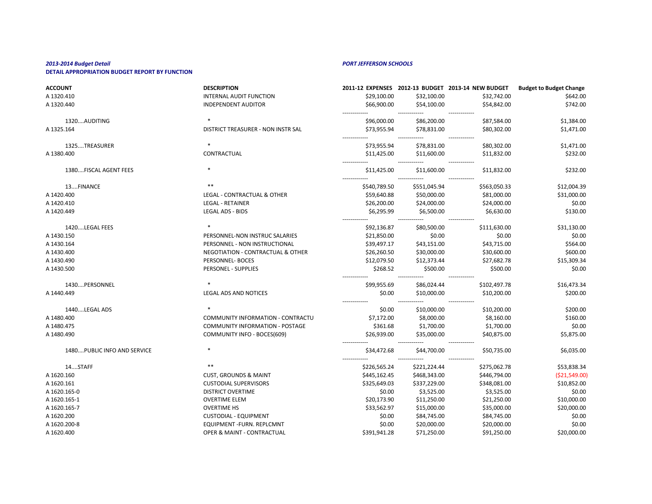# *2013-2014 Budget Detail PORT JEFFERSON SCHOOLS*

# **DETAIL APPROPRIATION BUDGET REPORT BY FUNCTION**

| <b>ACCOUNT</b>               | <b>DESCRIPTION</b>                     |                               |                              | 2011-12 EXPENSES 2012-13 BUDGET 2013-14 NEW BUDGET | <b>Budget to Budget Change</b> |
|------------------------------|----------------------------------------|-------------------------------|------------------------------|----------------------------------------------------|--------------------------------|
| A 1320.410                   | <b>INTERNAL AUDIT FUNCTION</b>         | \$29,100.00                   | \$32,100.00                  | \$32,742.00                                        | \$642.00                       |
| A 1320.440                   | <b>INDEPENDENT AUDITOR</b>             | \$66,900.00                   | \$54,100.00                  | \$54,842.00                                        | \$742.00                       |
| 1320AUDITING                 | $\ast$                                 | \$96,000.00                   | \$86,200.00                  | \$87,584.00                                        | \$1,384.00                     |
| A 1325.164                   | DISTRICT TREASURER - NON INSTR SAL     | \$73,955.94                   | \$78,831.00                  | \$80,302.00                                        | \$1,471.00                     |
| 1325TREASURER                |                                        | \$73,955.94                   | \$78,831.00                  | \$80,302.00                                        | \$1,471.00                     |
| A 1380.400                   | CONTRACTUAL                            | \$11,425.00<br>------------   | \$11,600.00                  | \$11,832.00<br>-------------                       | \$232.00                       |
| 1380FISCAL AGENT FEES        | ∗                                      | \$11,425.00                   | \$11,600.00                  | \$11,832.00                                        | \$232.00                       |
| 13FINANCE                    | $***$                                  | \$540,789.50                  | \$551,045.94                 | \$563,050.33                                       | \$12,004.39                    |
| A 1420.400                   | LEGAL - CONTRACTUAL & OTHER            | \$59,640.88                   | \$50,000.00                  | \$81,000.00                                        | \$31,000.00                    |
| A 1420.410                   | <b>LEGAL - RETAINER</b>                | \$26,200.00                   | \$24,000.00                  | \$24,000.00                                        | \$0.00                         |
| A 1420.449                   | <b>LEGAL ADS - BIDS</b>                | \$6,295.99                    | \$6,500.00                   | \$6,630.00                                         | \$130.00                       |
| 1420LEGAL FEES               |                                        | \$92,136.87                   | \$80,500.00                  | \$111,630.00                                       | \$31,130.00                    |
| A 1430.150                   | PERSONNEL-NON INSTRUC SALARIES         | \$21,850.00                   | \$0.00                       | \$0.00                                             | \$0.00                         |
| A 1430.164                   | PERSONNEL - NON INSTRUCTIONAL          | \$39,497.17                   | \$43,151.00                  | \$43,715.00                                        | \$564.00                       |
| A 1430.400                   | NEGOTIATION - CONTRACTUAL & OTHER      | \$26,260.50                   | \$30,000.00                  | \$30,600.00                                        | \$600.00                       |
| A 1430.490                   | PERSONNEL- BOCES                       | \$12,079.50                   | \$12,373.44                  | \$27,682.78                                        | \$15,309.34                    |
| A 1430.500                   | PERSONEL - SUPPLIES                    | \$268.52                      | \$500.00                     | \$500.00                                           | \$0.00                         |
| 1430PERSONNEL                |                                        | \$99,955.69                   | \$86,024.44                  | \$102,497.78                                       | \$16,473.34                    |
| A 1440.449                   | <b>LEGAL ADS AND NOTICES</b>           | \$0.00                        | \$10,000.00                  | \$10,200.00                                        | \$200.00                       |
| 1440LEGAL ADS                |                                        | \$0.00                        | \$10,000.00                  | \$10,200.00                                        | \$200.00                       |
| A 1480.400                   | COMMUNITY INFORMATION - CONTRACTU      | \$7,172.00                    | \$8,000.00                   | \$8,160.00                                         | \$160.00                       |
| A 1480.475                   | <b>COMMUNITY INFORMATION - POSTAGE</b> | \$361.68                      | \$1,700.00                   | \$1,700.00                                         | \$0.00                         |
| A 1480.490                   | COMMUNITY INFO - BOCES(609)            | \$26,939.00                   | \$35,000.00                  | \$40,875.00                                        | \$5,875.00                     |
| 1480 PUBLIC INFO AND SERVICE | ∗                                      | -------------<br>\$34,472.68  | -------------<br>\$44,700.00 | -------------<br>\$50,735.00                       | \$6,035.00                     |
| 14STAFF                      | $***$                                  | -------------<br>\$226,565.24 | -----<br>\$221,224.44        | -------------<br>\$275,062.78                      | \$53,838.34                    |
| A 1620.160                   | <b>CUST, GROUNDS &amp; MAINT</b>       | \$445,162.45                  | \$468,343.00                 | \$446,794.00                                       | ( \$21,549.00]                 |
| A 1620.161                   | <b>CUSTODIAL SUPERVISORS</b>           | \$325,649.03                  | \$337,229.00                 | \$348,081.00                                       | \$10,852.00                    |
| A 1620.165-0                 | <b>DISTRICT OVERTIME</b>               | \$0.00                        | \$3,525.00                   | \$3,525.00                                         | \$0.00                         |
| A 1620.165-1                 | <b>OVERTIME ELEM</b>                   | \$20,173.90                   | \$11,250.00                  | \$21,250.00                                        | \$10,000.00                    |
| A 1620.165-7                 | <b>OVERTIME HS</b>                     | \$33,562.97                   | \$15,000.00                  | \$35,000.00                                        | \$20,000.00                    |
| A 1620.200                   | <b>CUSTODIAL - EQUIPMENT</b>           | \$0.00                        | \$84,745.00                  | \$84,745.00                                        | \$0.00                         |
| A 1620.200-8                 | EQUIPMENT - FURN. REPLCMNT             | \$0.00                        | \$20,000.00                  | \$20,000.00                                        | \$0.00                         |
| A 1620.400                   | OPER & MAINT - CONTRACTUAL             | \$391,941.28                  | \$71,250.00                  | \$91,250.00                                        | \$20,000.00                    |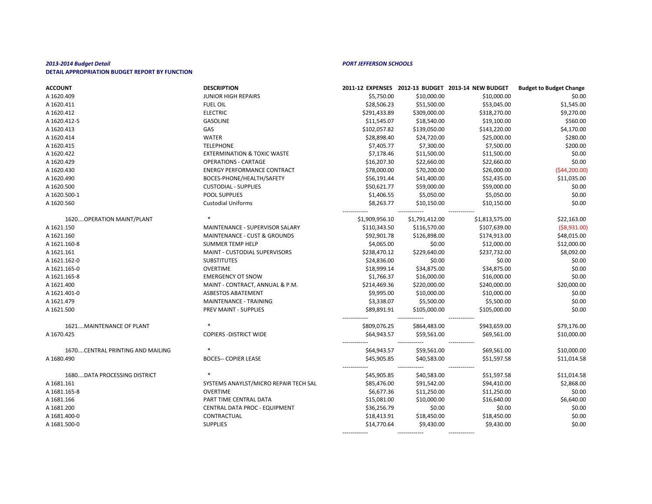| <b>ACCOUNT</b>                   | <b>DESCRIPTION</b>                      |                             |                       | 2011-12 EXPENSES 2012-13 BUDGET 2013-14 NEW BUDGET | <b>Budget to Budget Change</b> |
|----------------------------------|-----------------------------------------|-----------------------------|-----------------------|----------------------------------------------------|--------------------------------|
| A 1620.409                       | <b>JUNIOR HIGH REPAIRS</b>              | \$5,750.00                  | \$10,000.00           | \$10,000.00                                        | \$0.00                         |
| A 1620.411                       | <b>FUEL OIL</b>                         | \$28,506.23                 | \$51,500.00           | \$53,045.00                                        | \$1,545.00                     |
| A 1620.412                       | <b>ELECTRIC</b>                         | \$291,433.89                | \$309,000.00          | \$318,270.00                                       | \$9,270.00                     |
| A 1620.412-5                     | <b>GASOLINE</b>                         | \$11,545.07                 | \$18,540.00           | \$19,100.00                                        | \$560.00                       |
| A 1620.413                       | GAS                                     | \$102,057.82                | \$139,050.00          | \$143,220.00                                       | \$4,170.00                     |
| A 1620.414                       | <b>WATER</b>                            | \$28,898.40                 | \$24,720.00           | \$25,000.00                                        | \$280.00                       |
| A 1620.415                       | <b>TELEPHONE</b>                        | \$7,405.77                  | \$7,300.00            | \$7,500.00                                         | \$200.00                       |
| A 1620.422                       | <b>EXTERMINATION &amp; TOXIC WASTE</b>  | \$7,178.46                  | \$11,500.00           | \$11,500.00                                        | \$0.00                         |
| A 1620.429                       | <b>OPERATIONS - CARTAGE</b>             | \$16,207.30                 | \$22,660.00           | \$22,660.00                                        | \$0.00                         |
| A 1620.430                       | <b>ENERGY PERFORMANCE CONTRACT</b>      | \$78,000.00                 | \$70,200.00           | \$26,000.00                                        | (544, 200.00)                  |
| A 1620.490                       | BOCES-PHONE/HEALTH/SAFETY               | \$56,191.44                 | \$41,400.00           | \$52,435.00                                        | \$11,035.00                    |
| A 1620.500                       | <b>CUSTODIAL - SUPPLIES</b>             | \$50,621.77                 | \$59,000.00           | \$59,000.00                                        | \$0.00                         |
| A 1620.500-1                     | <b>POOL SUPPLIES</b>                    | \$1,406.55                  | \$5,050.00            | \$5,050.00                                         | \$0.00                         |
| A 1620.560                       | <b>Custodial Uniforms</b>               | \$8,263.77                  | \$10,150.00           | \$10,150.00                                        | \$0.00                         |
| 1620 OPERATION MAINT/PLANT       |                                         | \$1,909,956.10              | \$1,791,412.00        | \$1,813,575.00                                     | \$22,163.00                    |
| A 1621.150                       | MAINTENANCE - SUPERVISOR SALARY         | \$110,343.50                | \$116,570.00          | \$107,639.00                                       | ( \$8,931.00)                  |
| A 1621.160                       | <b>MAINTENANCE - CUST &amp; GROUNDS</b> | \$92,901.78                 | \$126,898.00          | \$174,913.00                                       | \$48,015.00                    |
| A 1621.160-8                     | <b>SUMMER TEMP HELP</b>                 | \$4,065.00                  | \$0.00                | \$12,000.00                                        | \$12,000.00                    |
| A 1621.161                       | MAINT - CUSTODIAL SUPERVISORS           | \$238,470.12                | \$229,640.00          | \$237,732.00                                       | \$8,092.00                     |
| A 1621.162-0                     | <b>SUBSTITUTES</b>                      | \$24,836.00                 | \$0.00                | \$0.00                                             | \$0.00                         |
| A 1621.165-0                     | <b>OVERTIME</b>                         | \$18,999.14                 | \$34,875.00           | \$34,875.00                                        | \$0.00                         |
| A 1621.165-8                     | <b>EMERGENCY OT SNOW</b>                | \$1,766.37                  | \$16,000.00           | \$16,000.00                                        | \$0.00                         |
| A 1621.400                       | MAINT - CONTRACT, ANNUAL & P.M.         | \$214,469.36                | \$220,000.00          | \$240,000.00                                       | \$20,000.00                    |
| A 1621.401-0                     | <b>ASBESTOS ABATEMENT</b>               | \$9,995.00                  | \$10,000.00           | \$10,000.00                                        | \$0.00                         |
| A 1621.479                       | MAINTENANCE - TRAINING                  | \$3,338.07                  | \$5,500.00            | \$5,500.00                                         | \$0.00                         |
| A 1621.500                       | PREV MAINT - SUPPLIES                   | \$89,891.91                 | \$105,000.00          | \$105,000.00                                       | \$0.00                         |
| 1621MAINTENANCE OF PLANT         |                                         | \$809,076.25                | \$864,483.00          | ------------<br>\$943,659.00                       | \$79,176.00                    |
| A 1670.425                       | <b>COPIERS - DISTRICT WIDE</b>          | \$64,943.57                 | \$59,561.00           | \$69,561.00                                        | \$10,000.00                    |
| 1670CENTRAL PRINTING AND MAILING |                                         | \$64,943.57                 | \$59,561.00           | \$69,561.00                                        | \$10,000.00                    |
| A 1680.490                       | <b>BOCES-- COPIER LEASE</b>             | \$45,905.85<br>------------ | \$40,583.00           | \$51,597.58<br>-------------                       | \$11,014.58                    |
| 1680DATA PROCESSING DISTRICT     |                                         | \$45,905.85                 | ------<br>\$40,583.00 | \$51,597.58                                        | \$11,014.58                    |
| A 1681.161                       | SYSTEMS ANAYLST/MICRO REPAIR TECH SAL   | \$85,476.00                 | \$91,542.00           | \$94,410.00                                        | \$2,868.00                     |
| A 1681.165-8                     | <b>OVERTIME</b>                         | \$6,677.36                  | \$11,250.00           | \$11,250.00                                        | \$0.00                         |
| A 1681.166                       | PART TIME CENTRAL DATA                  | \$15,081.00                 | \$10,000.00           | \$16,640.00                                        | \$6,640.00                     |
| A 1681.200                       | <b>CENTRAL DATA PROC - EQUIPMENT</b>    | \$36,256.79                 | \$0.00                | \$0.00                                             | \$0.00                         |
| A 1681.400-0                     | CONTRACTUAL                             | \$18,413.91                 | \$18,450.00           | \$18,450.00                                        | \$0.00                         |
| A 1681.500-0                     | <b>SUPPLIES</b>                         | \$14,770.64                 | \$9,430.00            | \$9,430.00                                         | \$0.00                         |
|                                  |                                         |                             |                       |                                                    |                                |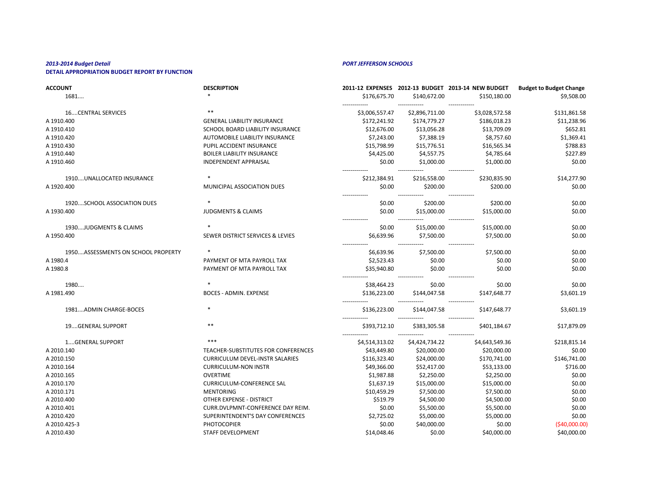| <b>ACCOUNT</b>                     | <b>DESCRIPTION</b>                     |                               |                | 2011-12 EXPENSES 2012-13 BUDGET 2013-14 NEW BUDGET | <b>Budget to Budget Change</b> |
|------------------------------------|----------------------------------------|-------------------------------|----------------|----------------------------------------------------|--------------------------------|
| 1681                               |                                        | \$176,675.70                  | \$140,672.00   | \$150,180.00                                       | \$9,508.00                     |
| <b>16CENTRAL SERVICES</b>          |                                        | \$3,006,557.47                | \$2,896,711.00 | -------------<br>\$3,028,572.58                    | \$131,861.58                   |
| A 1910.400                         | <b>GENERAL LIABILITY INSURANCE</b>     | \$172,241.92                  | \$174,779.27   | \$186,018.23                                       | \$11,238.96                    |
| A 1910.410                         | SCHOOL BOARD LIABILITY INSURANCE       | \$12,676.00                   | \$13,056.28    | \$13,709.09                                        | \$652.81                       |
| A 1910.420                         | AUTOMOBILE LIABILITY INSURANCE         | \$7,243.00                    | \$7,388.19     | \$8,757.60                                         | \$1,369.41                     |
| A 1910.430                         | PUPIL ACCIDENT INSURANCE               | \$15,798.99                   | \$15,776.51    | \$16,565.34                                        | \$788.83                       |
| A 1910.440                         | <b>BOILER LIABILITY INSURANCE</b>      | \$4,425.00                    | \$4,557.75     | \$4,785.64                                         | \$227.89                       |
| A 1910.460                         | <b>INDEPENDENT APPRAISAL</b>           | \$0.00                        | \$1,000.00     | \$1,000.00                                         | \$0.00                         |
| 1910UNALLOCATED INSURANCE          |                                        | -------------<br>\$212,384.91 | \$216,558.00   | -------------<br>\$230,835.90                      | \$14,277.90                    |
| A 1920.400                         | MUNICIPAL ASSOCIATION DUES             | \$0.00                        | \$200.00       | \$200.00                                           | \$0.00                         |
| 1920SCHOOL ASSOCIATION DUES        |                                        | . <b>.</b><br>\$0.00          | \$200.00       | \$200.00                                           | \$0.00                         |
| A 1930.400                         | <b>JUDGMENTS &amp; CLAIMS</b>          | \$0.00                        | \$15,000.00    | \$15,000.00                                        | \$0.00                         |
| 1930JUDGMENTS & CLAIMS             |                                        | \$0.00                        | \$15,000.00    | \$15,000.00                                        | \$0.00                         |
| A 1950.400                         | SEWER DISTRICT SERVICES & LEVIES       | \$6,639.96                    | \$7,500.00     | \$7,500.00                                         | \$0.00                         |
| 1950ASSESSMENTS ON SCHOOL PROPERTY | $\ast$                                 | \$6,639.96                    | \$7,500.00     | \$7,500.00                                         | \$0.00                         |
| A 1980.4                           | PAYMENT OF MTA PAYROLL TAX             | \$2,523.43                    | \$0.00         | \$0.00                                             | \$0.00                         |
| A 1980.8                           | PAYMENT OF MTA PAYROLL TAX             | \$35,940.80                   | \$0.00         | \$0.00                                             | \$0.00                         |
| 1980                               |                                        | \$38,464.23                   | \$0.00         | \$0.00                                             | \$0.00                         |
| A 1981.490                         | <b>BOCES - ADMIN. EXPENSE</b>          | \$136,223.00                  | \$144,047.58   | \$147,648.77                                       | \$3,601.19                     |
| 1981ADMIN CHARGE-BOCES             |                                        | \$136,223.00                  | \$144,047.58   | ------------<br>\$147,648.77                       | \$3,601.19                     |
| 19GENERAL SUPPORT                  | **                                     | \$393,712.10                  | \$383,305.58   | ------------<br>\$401,184.67                       | \$17,879.09                    |
| 1GENERAL SUPPORT                   | ***                                    | \$4,514,313.02                | \$4,424,734.22 | \$4,643,549.36                                     | \$218,815.14                   |
| A 2010.140                         | TEACHER-SUBSTITUTES FOR CONFERENCES    | \$43,449.80                   | \$20,000.00    | \$20,000.00                                        | \$0.00                         |
| A 2010.150                         | <b>CURRICULUM DEVEL-INSTR SALARIES</b> | \$116,323.40                  | \$24,000.00    | \$170,741.00                                       | \$146,741.00                   |
| A 2010.164                         | <b>CURRICULUM-NON INSTR</b>            | \$49,366.00                   | \$52,417.00    | \$53,133.00                                        | \$716.00                       |
| A 2010.165                         | <b>OVERTIME</b>                        | \$1,987.88                    | \$2,250.00     | \$2,250.00                                         | \$0.00                         |
| A 2010.170                         | <b>CURRICULUM-CONFERENCE SAL</b>       | \$1,637.19                    | \$15,000.00    | \$15,000.00                                        | \$0.00                         |
| A 2010.171                         | <b>MENTORING</b>                       | \$10,459.29                   | \$7,500.00     | \$7,500.00                                         | \$0.00                         |
| A 2010.400                         | OTHER EXPENSE - DISTRICT               | \$519.79                      | \$4,500.00     | \$4,500.00                                         | \$0.00                         |
| A 2010.401                         | CURR.DVLPMNT-CONFERENCE DAY REIM.      | \$0.00                        | \$5,500.00     | \$5,500.00                                         | \$0.00                         |
| A 2010.420                         | SUPERINTENDENT'S DAY CONFERENCES       | \$2,725.02                    | \$5,000.00     | \$5,000.00                                         | \$0.00                         |
| A 2010.425-3                       | <b>PHOTOCOPIER</b>                     | \$0.00                        | \$40,000.00    | \$0.00                                             | ( \$40,000.00]                 |
| A 2010.430                         | STAFF DEVELOPMENT                      | \$14,048.46                   | \$0.00         | \$40,000.00                                        | \$40,000.00                    |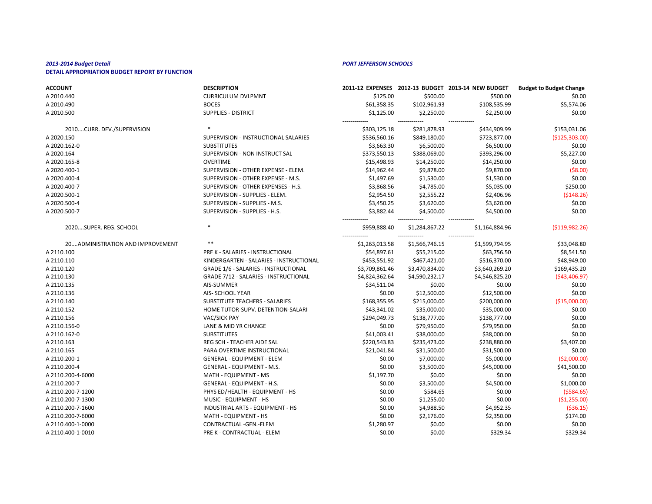| <b>ACCOUNT</b>                    | <b>DESCRIPTION</b>                           |                |                | 2011-12 EXPENSES 2012-13 BUDGET 2013-14 NEW BUDGET | <b>Budget to Budget Change</b> |
|-----------------------------------|----------------------------------------------|----------------|----------------|----------------------------------------------------|--------------------------------|
| A 2010.440                        | <b>CURRICULUM DVLPMNT</b>                    | \$125.00       | \$500.00       | \$500.00                                           | \$0.00                         |
| A 2010.490                        | <b>BOCES</b>                                 | \$61,358.35    | \$102,961.93   | \$108,535.99                                       | \$5,574.06                     |
| A 2010.500                        | <b>SUPPLIES - DISTRICT</b>                   | \$1,125.00     | \$2,250.00     | \$2,250.00                                         | \$0.00                         |
| 2010CURR. DEV./SUPERVISION        |                                              | \$303,125.18   | \$281,878.93   | \$434,909.99                                       | \$153,031.06                   |
| A 2020.150                        | SUPERVISION - INSTRUCTIONAL SALARIES         | \$536,560.16   | \$849,180.00   | \$723,877.00                                       | (\$125,303.00)                 |
| A 2020.162-0                      | <b>SUBSTITUTES</b>                           | \$3,663.30     | \$6,500.00     | \$6,500.00                                         | \$0.00                         |
| A 2020.164                        | SUPERVISION - NON INSTRUCT SAL               | \$373,550.13   | \$388,069.00   | \$393,296.00                                       | \$5,227.00                     |
| A 2020.165-8                      | <b>OVERTIME</b>                              | \$15,498.93    | \$14,250.00    | \$14,250.00                                        | \$0.00                         |
| A 2020.400-1                      | SUPERVISION - OTHER EXPENSE - ELEM.          | \$14,962.44    | \$9,878.00     | \$9,870.00                                         | (58.00)                        |
| A 2020.400-4                      | SUPERVISION - OTHER EXPENSE - M.S.           | \$1,497.69     | \$1,530.00     | \$1,530.00                                         | \$0.00                         |
| A 2020.400-7                      | SUPERVISION - OTHER EXPENSES - H.S.          | \$3,868.56     | \$4,785.00     | \$5,035.00                                         | \$250.00                       |
| A 2020.500-1                      | SUPERVISION - SUPPLIES - ELEM.               | \$2,954.50     | \$2,555.22     | \$2,406.96                                         | ( \$148.26)                    |
| A 2020.500-4                      | SUPERVISION - SUPPLIES - M.S.                | \$3,450.25     | \$3,620.00     | \$3,620.00                                         | \$0.00                         |
| A 2020.500-7                      | SUPERVISION - SUPPLIES - H.S.                | \$3,882.44     | \$4,500.00     | \$4,500.00                                         | \$0.00                         |
| 2020SUPER. REG. SCHOOL            |                                              | \$959,888.40   | \$1,284,867.22 | \$1,164,884.96                                     | ( \$119, 982.26)               |
| 20 ADMINISTRATION AND IMPROVEMENT | $***$                                        | \$1,263,013.58 | \$1,566,746.15 | \$1,599,794.95                                     | \$33,048.80                    |
| A 2110.100                        | PRE K - SALARIES - INSTRUCTIONAL             | \$54,897.61    | \$55,215.00    | \$63,756.50                                        | \$8,541.50                     |
| A 2110.110                        | KINDERGARTEN - SALARIES - INSTRUCTIONAL      | \$453,551.92   | \$467,421.00   | \$516,370.00                                       | \$48,949.00                    |
| A 2110.120                        | <b>GRADE 1/6 - SALARIES - INSTRUCTIONAL</b>  | \$3,709,861.46 | \$3,470,834.00 | \$3,640,269.20                                     | \$169,435.20                   |
| A 2110.130                        | <b>GRADE 7/12 - SALARIES - INSTRUCTIONAL</b> | \$4,824,362.64 | \$4,590,232.17 | \$4,546,825.20                                     | ( \$43,406.97)                 |
| A 2110.135                        | AIS-SUMMER                                   | \$34,511.04    | \$0.00         | \$0.00                                             | \$0.00                         |
| A 2110.136                        | AIS- SCHOOL YEAR                             | \$0.00         | \$12,500.00    | \$12,500.00                                        | \$0.00                         |
| A 2110.140                        | <b>SUBSTITUTE TEACHERS - SALARIES</b>        | \$168,355.95   | \$215,000.00   | \$200,000.00                                       | (\$15,000.00]                  |
| A 2110.152                        | HOME TUTOR-SUPV. DETENTION-SALARI            | \$43,341.02    | \$35,000.00    | \$35,000.00                                        | \$0.00                         |
| A 2110.156                        | <b>VAC/SICK PAY</b>                          | \$294,049.73   | \$138,777.00   | \$138,777.00                                       | \$0.00                         |
| A 2110.156-0                      | LANE & MID YR CHANGE                         | \$0.00         | \$79,950.00    | \$79,950.00                                        | \$0.00                         |
| A 2110.162-0                      | <b>SUBSTITUTES</b>                           | \$41,003.41    | \$38,000.00    | \$38,000.00                                        | \$0.00                         |
| A 2110.163                        | REG SCH - TEACHER AIDE SAL                   | \$220,543.83   | \$235,473.00   | \$238,880.00                                       | \$3,407.00                     |
| A 2110.165                        | PARA OVERTIME INSTRUCTIONAL                  | \$21,041.84    | \$31,500.00    | \$31,500.00                                        | \$0.00                         |
| A 2110.200-1                      | <b>GENERAL - EQUIPMENT - ELEM</b>            | \$0.00         | \$7,000.00     | \$5,000.00                                         | ( \$2,000.00]                  |
| A 2110.200-4                      | GENERAL - EQUIPMENT - M.S.                   | \$0.00         | \$3,500.00     | \$45,000.00                                        | \$41,500.00                    |
| A 2110.200-4-6000                 | MATH - EQUIPMENT - MS                        | \$1,197.70     | \$0.00         | \$0.00                                             | \$0.00                         |
| A 2110.200-7                      | <b>GENERAL - EQUIPMENT - H.S.</b>            | \$0.00         | \$3,500.00     | \$4,500.00                                         | \$1,000.00                     |
| A 2110.200-7-1200                 | PHYS ED/HEALTH - EQUIPMENT - HS              | \$0.00         | \$584.65       | \$0.00                                             | (5584.65)                      |
| A 2110.200-7-1300                 | MUSIC - EQUIPMENT - HS                       | \$0.00         | \$1,255.00     | \$0.00                                             | ( \$1,255.00]                  |
| A 2110.200-7-1600                 | INDUSTRIAL ARTS - EQUIPMENT - HS             | \$0.00         | \$4,988.50     | \$4,952.35                                         | ( \$36.15)                     |
| A 2110.200-7-6000                 | MATH - EQUIPMENT - HS                        | \$0.00         | \$2,176.00     | \$2,350.00                                         | \$174.00                       |
| A 2110.400-1-0000                 | CONTRACTUAL - GEN.-ELEM                      | \$1,280.97     | \$0.00         | \$0.00                                             | \$0.00                         |
| A 2110.400-1-0010                 | PRE K - CONTRACTUAL - ELEM                   | \$0.00         | \$0.00         | \$329.34                                           | \$329.34                       |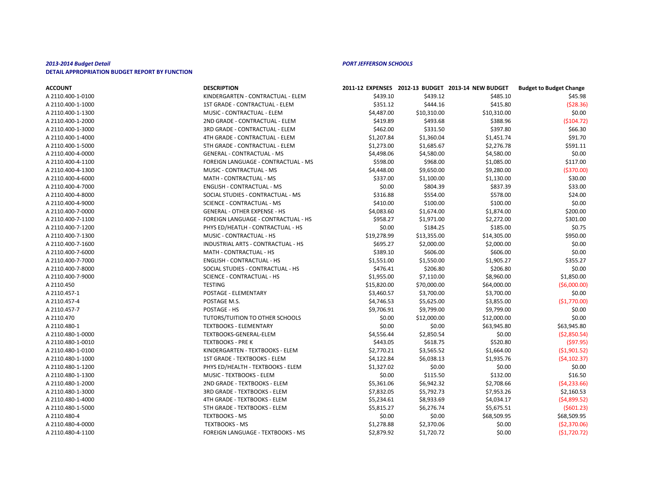| <b>ACCOUNT</b>    | <b>DESCRIPTION</b>                  |             |             | 2011-12 EXPENSES 2012-13 BUDGET 2013-14 NEW BUDGET | <b>Budget to Budget Change</b> |
|-------------------|-------------------------------------|-------------|-------------|----------------------------------------------------|--------------------------------|
| A 2110.400-1-0100 | KINDERGARTEN - CONTRACTUAL - ELEM   | \$439.10    | \$439.12    | \$485.10                                           | \$45.98                        |
| A 2110.400-1-1000 | 1ST GRADE - CONTRACTUAL - ELEM      | \$351.12    | \$444.16    | \$415.80                                           | (528.36)                       |
| A 2110.400-1-1300 | MUSIC - CONTRACTUAL - ELEM          | \$4,487.00  | \$10,310.00 | \$10,310.00                                        | \$0.00                         |
| A 2110.400-1-2000 | 2ND GRADE - CONTRACTUAL - ELEM      | \$419.89    | \$493.68    | \$388.96                                           | ( \$104.72]                    |
| A 2110.400-1-3000 | 3RD GRADE - CONTRACTUAL - ELEM      | \$462.00    | \$331.50    | \$397.80                                           | \$66.30                        |
| A 2110.400-1-4000 | 4TH GRADE - CONTRACTUAL - ELEM      | \$1,207.84  | \$1,360.04  | \$1,451.74                                         | \$91.70                        |
| A 2110.400-1-5000 | 5TH GRADE - CONTRACTUAL - ELEM      | \$1,273.00  | \$1,685.67  | \$2,276.78                                         | \$591.11                       |
| A 2110.400-4-0000 | <b>GENERAL - CONTRACTUAL - MS</b>   | \$4,498.06  | \$4,580.00  | \$4,580.00                                         | \$0.00                         |
| A 2110.400-4-1100 | FOREIGN LANGUAGE - CONTRACTUAL - MS | \$598.00    | \$968.00    | \$1,085.00                                         | \$117.00                       |
| A 2110.400-4-1300 | MUSIC - CONTRACTUAL - MS            | \$4,448.00  | \$9,650.00  | \$9,280.00                                         | ( \$370.00]                    |
| A 2110.400-4-6000 | MATH - CONTRACTUAL - MS             | \$337.00    | \$1,100.00  | \$1,130.00                                         | \$30.00                        |
| A 2110.400-4-7000 | <b>ENGLISH - CONTRACTUAL - MS</b>   | \$0.00      | \$804.39    | \$837.39                                           | \$33.00                        |
| A 2110.400-4-8000 | SOCIAL STUDIES - CONTRACTUAL - MS   | \$316.88    | \$554.00    | \$578.00                                           | \$24.00                        |
| A 2110.400-4-9000 | <b>SCIENCE - CONTRACTUAL - MS</b>   | \$410.00    | \$100.00    | \$100.00                                           | \$0.00                         |
| A 2110.400-7-0000 | <b>GENERAL - OTHER EXPENSE - HS</b> | \$4,083.60  | \$1,674.00  | \$1,874.00                                         | \$200.00                       |
| A 2110.400-7-1100 | FOREIGN LANGUAGE - CONTRACTUAL - HS | \$958.27    | \$1,971.00  | \$2,272.00                                         | \$301.00                       |
| A 2110.400-7-1200 | PHYS ED/HEATLH - CONTRACTUAL - HS   | \$0.00      | \$184.25    | \$185.00                                           | \$0.75                         |
| A 2110.400-7-1300 | MUSIC - CONTRACTUAL - HS            | \$19,278.99 | \$13,355.00 | \$14,305.00                                        | \$950.00                       |
| A 2110.400-7-1600 | INDUSTRIAL ARTS - CONTRACTUAL - HS  | \$695.27    | \$2,000.00  | \$2,000.00                                         | \$0.00                         |
| A 2110.400-7-6000 | MATH - CONTRACTUAL - HS             | \$389.10    | \$606.00    | \$606.00                                           | \$0.00                         |
| A 2110.400-7-7000 | <b>ENGLISH - CONTRACTUAL - HS</b>   | \$1,551.00  | \$1,550.00  | \$1,905.27                                         | \$355.27                       |
| A 2110.400-7-8000 | SOCIAL STUDIES - CONTRACTUAL - HS   | \$476.41    | \$206.80    | \$206.80                                           | \$0.00                         |
| A 2110.400-7-9000 | <b>SCIENCE - CONTRACTUAL - HS</b>   | \$1,955.00  | \$7,110.00  | \$8,960.00                                         | \$1,850.00                     |
| A 2110.450        | <b>TESTING</b>                      | \$15,820.00 | \$70,000.00 | \$64,000.00                                        | (56,000.00)                    |
| A 2110.457-1      | POSTAGE - ELEMENTARY                | \$3,460.57  | \$3,700.00  | \$3,700.00                                         | \$0.00                         |
| A 2110.457-4      | POSTAGE M.S.                        | \$4,746.53  | \$5,625.00  | \$3,855.00                                         | (51,770.00)                    |
| A 2110.457-7      | POSTAGE - HS                        | \$9,706.91  | \$9,799.00  | \$9,799.00                                         | \$0.00                         |
| A 2110.470        | TUTORS/TUITION TO OTHER SCHOOLS     | \$0.00      | \$12,000.00 | \$12,000.00                                        | \$0.00                         |
| A 2110.480-1      | <b>TEXTBOOKS - ELEMENTARY</b>       | \$0.00      | \$0.00      | \$63,945.80                                        | \$63,945.80                    |
| A 2110.480-1-0000 | TEXTBOOKS-GENERAL-ELEM              | \$4,556.44  | \$2,850.54  | \$0.00                                             | (52,850.54)                    |
| A 2110.480-1-0010 | <b>TEXTBOOKS - PRE K</b>            | \$443.05    | \$618.75    | \$520.80                                           | $($ \$97.95)                   |
| A 2110.480-1-0100 | KINDERGARTEN - TEXTBOOKS - ELEM     | \$2,770.21  | \$3,565.52  | \$1,664.00                                         | (51,901.52)                    |
| A 2110.480-1-1000 | 1ST GRADE - TEXTBOOKS - ELEM        | \$4,122.84  | \$6,038.13  | \$1,935.76                                         | (54, 102.37)                   |
| A 2110.480-1-1200 | PHYS ED/HEALTH - TEXTBOOKS - ELEM   | \$1,327.02  | \$0.00      | \$0.00                                             | \$0.00                         |
| A 2110.480-1-1300 | MUSIC - TEXTBOOKS - ELEM            | \$0.00      | \$115.50    | \$132.00                                           | \$16.50                        |
| A 2110.480-1-2000 | 2ND GRADE - TEXTBOOKS - ELEM        | \$5,361.06  | \$6,942.32  | \$2,708.66                                         | (54, 233.66)                   |
| A 2110.480-1-3000 | 3RD GRADE - TEXTBOOKS - ELEM        | \$7,832.05  | \$5,792.73  | \$7,953.26                                         | \$2,160.53                     |
| A 2110.480-1-4000 | 4TH GRADE - TEXTBOOKS - ELEM        | \$5,234.61  | \$8,933.69  | \$4,034.17                                         | (54,899.52)                    |
| A 2110.480-1-5000 | 5TH GRADE - TEXTBOOKS - ELEM        | \$5,815.27  | \$6,276.74  | \$5,675.51                                         | (5601.23)                      |
| A 2110.480-4      | <b>TEXTBOOKS - MS</b>               | \$0.00      | \$0.00      | \$68,509.95                                        | \$68,509.95                    |
| A 2110.480-4-0000 | <b>TEXTBOOKS - MS</b>               | \$1,278.88  | \$2,370.06  | \$0.00                                             | (52,370.06)                    |
| A 2110.480-4-1100 | FOREIGN LANGUAGE - TEXTBOOKS - MS   | \$2,879.92  | \$1,720.72  | \$0.00                                             | (51, 720.72)                   |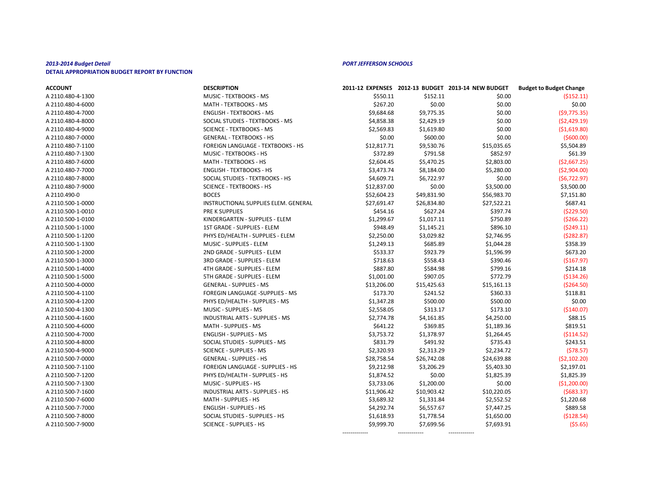| <b>ACCOUNT</b>    | <b>DESCRIPTION</b>                     |             |             | 2011-12 EXPENSES 2012-13 BUDGET 2013-14 NEW BUDGET | <b>Budget to Budget Change</b> |
|-------------------|----------------------------------------|-------------|-------------|----------------------------------------------------|--------------------------------|
| A 2110.480-4-1300 | <b>MUSIC - TEXTBOOKS - MS</b>          | \$550.11    | \$152.11    | \$0.00                                             | (5152.11)                      |
| A 2110.480-4-6000 | MATH - TEXTBOOKS - MS                  | \$267.20    | \$0.00      | \$0.00                                             | \$0.00                         |
| A 2110.480-4-7000 | <b>ENGLISH - TEXTBOOKS - MS</b>        | \$9,684.68  | \$9,775.35  | \$0.00                                             | (59, 775.35)                   |
| A 2110.480-4-8000 | SOCIAL STUDIES - TEXTBOOKS - MS        | \$4,858.38  | \$2,429.19  | \$0.00                                             | (52, 429.19)                   |
| A 2110.480-4-9000 | <b>SCIENCE - TEXTBOOKS - MS</b>        | \$2,569.83  | \$1,619.80  | \$0.00                                             | ( \$1,619.80]                  |
| A 2110.480-7-0000 | <b>GENERAL - TEXTBOOKS - HS</b>        | \$0.00      | \$600.00    | \$0.00                                             | $($ \$600.00)                  |
| A 2110.480-7-1100 | FOREIGN LANGUAGE - TEXTBOOKS - HS      | \$12,817.71 | \$9,530.76  | \$15,035.65                                        | \$5,504.89                     |
| A 2110.480-7-1300 | MUSIC - TEXTBOOKS - HS                 | \$372.89    | \$791.58    | \$852.97                                           | \$61.39                        |
| A 2110.480-7-6000 | MATH - TEXTBOOKS - HS                  | \$2,604.45  | \$5,470.25  | \$2,803.00                                         | (52,667.25)                    |
| A 2110.480-7-7000 | <b>ENGLISH - TEXTBOOKS - HS</b>        | \$3,473.74  | \$8,184.00  | \$5,280.00                                         | ( \$2,904.00]                  |
| A 2110.480-7-8000 | SOCIAL STUDIES - TEXTBOOKS - HS        | \$4,609.71  | \$6,722.97  | \$0.00                                             | (56, 722.97)                   |
| A 2110.480-7-9000 | <b>SCIENCE - TEXTBOOKS - HS</b>        | \$12,837.00 | \$0.00      | \$3,500.00                                         | \$3,500.00                     |
| A 2110.490-0      | <b>BOCES</b>                           | \$52,604.23 | \$49,831.90 | \$56,983.70                                        | \$7,151.80                     |
| A 2110.500-1-0000 | INSTRUCTIONAL SUPPLIES ELEM. GENERAL   | \$27,691.47 | \$26,834.80 | \$27,522.21                                        | \$687.41                       |
| A 2110.500-1-0010 | PRE K SUPPLIES                         | \$454.16    | \$627.24    | \$397.74                                           | ( \$229.50]                    |
| A 2110.500-1-0100 | KINDERGARTEN - SUPPLIES - ELEM         | \$1,299.67  | \$1,017.11  | \$750.89                                           | ( \$266.22]                    |
| A 2110.500-1-1000 | 1ST GRADE - SUPPLIES - ELEM            | \$948.49    | \$1,145.21  | \$896.10                                           | (5249.11)                      |
| A 2110.500-1-1200 | PHYS ED/HEALTH - SUPPLIES - ELEM       | \$2,250.00  | \$3,029.82  | \$2,746.95                                         | (5282.87)                      |
| A 2110.500-1-1300 | MUSIC - SUPPLIES - ELEM                | \$1,249.13  | \$685.89    | \$1,044.28                                         | \$358.39                       |
| A 2110.500-1-2000 | 2ND GRADE - SUPPLIES - ELEM            | \$533.37    | \$923.79    | \$1,596.99                                         | \$673.20                       |
| A 2110.500-1-3000 | 3RD GRADE - SUPPLIES - ELEM            | \$718.63    | \$558.43    | \$390.46                                           | ( \$167.97]                    |
| A 2110.500-1-4000 | 4TH GRADE - SUPPLIES - ELEM            | \$887.80    | \$584.98    | \$799.16                                           | \$214.18                       |
| A 2110.500-1-5000 | 5TH GRADE - SUPPLIES - ELEM            | \$1,001.00  | \$907.05    | \$772.79                                           | ( \$134.26]                    |
| A 2110.500-4-0000 | <b>GENERAL - SUPPLIES - MS</b>         | \$13,206.00 | \$15,425.63 | \$15,161.13                                        | ( \$264.50)                    |
| A 2110.500-4-1100 | FOREGIN LANGUAGE -SUPPLIES - MS        | \$173.70    | \$241.52    | \$360.33                                           | \$118.81                       |
| A 2110.500-4-1200 | PHYS ED/HEALTH - SUPPLIES - MS         | \$1,347.28  | \$500.00    | \$500.00                                           | \$0.00                         |
| A 2110.500-4-1300 | MUSIC - SUPPLIES - MS                  | \$2,558.05  | \$313.17    | \$173.10                                           | ( \$140.07]                    |
| A 2110.500-4-1600 | <b>INDUSTRIAL ARTS - SUPPLIES - MS</b> | \$2,774.78  | \$4,161.85  | \$4,250.00                                         | \$88.15                        |
| A 2110.500-4-6000 | MATH - SUPPLIES - MS                   | \$641.22    | \$369.85    | \$1,189.36                                         | \$819.51                       |
| A 2110.500-4-7000 | <b>ENGLISH - SUPPLIES - MS</b>         | \$3,753.72  | \$1,378.97  | \$1,264.45                                         | ( \$114.52]                    |
| A 2110.500-4-8000 | SOCIAL STUDIES - SUPPLIES - MS         | \$831.79    | \$491.92    | \$735.43                                           | \$243.51                       |
| A 2110.500-4-9000 | <b>SCIENCE - SUPPLIES - MS</b>         | \$2,320.93  | \$2,313.29  | \$2,234.72                                         | (578.57)                       |
| A 2110.500-7-0000 | <b>GENERAL - SUPPLIES - HS</b>         | \$28,758.54 | \$26,742.08 | \$24,639.88                                        | (52, 102.20)                   |
| A 2110.500-7-1100 | FOREIGN LANGUAGE - SUPPLIES - HS       | \$9,212.98  | \$3,206.29  | \$5,403.30                                         | \$2,197.01                     |
| A 2110.500-7-1200 | PHYS ED/HEALTH - SUPPLIES - HS         | \$1,874.52  | \$0.00      | \$1,825.39                                         | \$1,825.39                     |
| A 2110.500-7-1300 | MUSIC - SUPPLIES - HS                  | \$3,733.06  | \$1,200.00  | \$0.00                                             | ( \$1,200.00]                  |
| A 2110.500-7-1600 | <b>INDUSTRIAL ARTS - SUPPLIES - HS</b> | \$11,906.42 | \$10,903.42 | \$10,220.05                                        | (5683.37)                      |
| A 2110.500-7-6000 | <b>MATH - SUPPLIES - HS</b>            | \$3,689.32  | \$1,331.84  | \$2,552.52                                         | \$1,220.68                     |
| A 2110.500-7-7000 | <b>ENGLISH - SUPPLIES - HS</b>         | \$4,292.74  | \$6,557.67  | \$7,447.25                                         | \$889.58                       |
| A 2110.500-7-8000 | SOCIAL STUDIES - SUPPLIES - HS         | \$1,618.93  | \$1,778.54  | \$1,650.00                                         | ( \$128.54]                    |
| A 2110.500-7-9000 | <b>SCIENCE - SUPPLIES - HS</b>         | \$9,999.70  | \$7,699.56  | \$7,693.91                                         | (55.65)                        |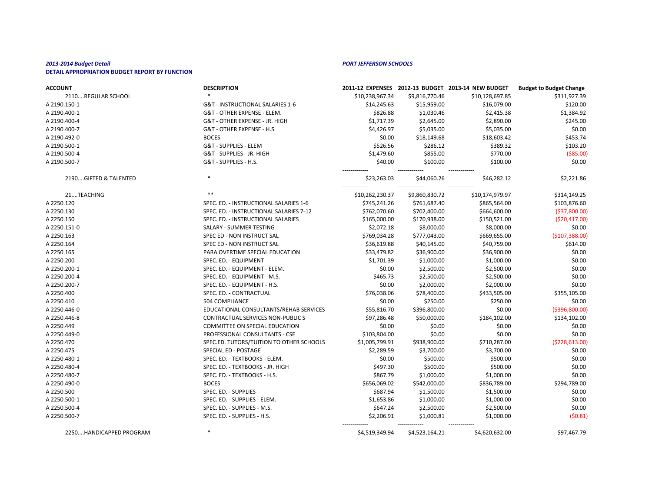| <b>ACCOUNT</b>        | <b>DESCRIPTION</b>                       |                                  |                             | 2011-12 EXPENSES 2012-13 BUDGET 2013-14 NEW BUDGET | <b>Budget to Budget Change</b> |
|-----------------------|------------------------------------------|----------------------------------|-----------------------------|----------------------------------------------------|--------------------------------|
| 2110REGULAR SCHOOL    |                                          | \$10,238,967.34                  | \$9,816,770.46              | \$10,128,697.85                                    | \$311,927.39                   |
| A 2190.150-1          | G&T - INSTRUCTIONAL SALARIES 1-6         | \$14,245.63                      | \$15,959.00                 | \$16,079.00                                        | \$120.00                       |
| A 2190.400-1          | G&T - OTHER EXPENSE - ELEM.              | \$826.88                         | \$1,030.46                  | \$2,415.38                                         | \$1,384.92                     |
| A 2190.400-4          | G&T - OTHER EXPENSE - JR. HIGH           | \$1,717.39                       | \$2,645.00                  | \$2,890.00                                         | \$245.00                       |
| A 2190.400-7          | G&T - OTHER EXPENSE - H.S.               | \$4,426.97                       | \$5,035.00                  | \$5,035.00                                         | \$0.00                         |
| A 2190.492-0          | <b>BOCES</b>                             | \$0.00                           | \$18,149.68                 | \$18,603.42                                        | \$453.74                       |
| A 2190.500-1          | G&T - SUPPLIES - ELEM                    | \$526.56                         | \$286.12                    | \$389.32                                           | \$103.20                       |
| A 2190.500-4          | G&T - SUPPLIES - JR. HIGH                | \$1,479.60                       | \$855.00                    | \$770.00                                           | ( \$85.00)                     |
| A 2190.500-7          | G&T - SUPPLIES - H.S.                    | \$40.00                          | \$100.00                    | \$100.00                                           | \$0.00                         |
| 2190GIFTED & TALENTED |                                          | ------------<br>\$23,263.03      | ------------<br>\$44,060.26 | -------------<br>\$46,282.12                       | \$2,221.86                     |
| 21TEACHING            | $***$                                    | -------------<br>\$10,262,230.37 | \$9,860,830.72              | -------------<br>\$10,174,979.97                   | \$314,149.25                   |
| A 2250.120            | SPEC. ED. - INSTRUCTIONAL SALARIES 1-6   | \$745,241.26                     | \$761,687.40                | \$865,564.00                                       | \$103,876.60                   |
| A 2250.130            | SPEC. ED. - INSTRUCTIONAL SALARIES 7-12  | \$762,070.60                     | \$702,400.00                | \$664,600.00                                       | ( \$37, 800.00]                |
| A 2250.150            | SPEC. ED. - INSTRUCTIONAL SALARIES       | \$165,000.00                     | \$170,938.00                | \$150,521.00                                       | ( \$20,417.00]                 |
| A 2250.151-0          | SALARY - SUMMER TESTING                  | \$2,072.18                       | \$8,000.00                  | \$8,000.00                                         | \$0.00                         |
| A 2250.163            | SPEC ED - NON INSTRUCT SAL               | \$769,034.28                     | \$777,043.00                | \$669,655.00                                       | (\$107,388.00)                 |
| A 2250.164            | SPEC ED - NON INSTRUCT SAL               | \$36,619.88                      | \$40,145.00                 | \$40,759.00                                        | \$614.00                       |
| A 2250.165            | PARA OVERTIME SPECIAL EDUCATION          | \$33,479.82                      | \$36,900.00                 | \$36,900.00                                        | \$0.00                         |
| A 2250.200            | SPEC. ED. - EQUIPMENT                    | \$1,701.39                       | \$1,000.00                  | \$1,000.00                                         | \$0.00                         |
| A 2250.200-1          | SPEC. ED. - EQUIPMENT - ELEM.            | \$0.00                           | \$2,500.00                  | \$2,500.00                                         | \$0.00                         |
| A 2250.200-4          | SPEC. ED. - EQUIPMENT - M.S.             | \$465.73                         | \$2,500.00                  | \$2,500.00                                         | \$0.00                         |
| A 2250.200-7          | SPEC. ED. - EQUIPMENT - H.S.             | \$0.00                           | \$2,000.00                  | \$2,000.00                                         | \$0.00                         |
| A 2250.400            | SPEC. ED. - CONTRACTUAL                  | \$76,038.06                      | \$78,400.00                 | \$433,505.00                                       | \$355,105.00                   |
| A 2250.410            | 504 COMPLIANCE                           | \$0.00                           | \$250.00                    | \$250.00                                           | \$0.00                         |
| A 2250.446-0          | EDUCATIONAL CONSULTANTS/REHAB SERVICES   | \$55,816.70                      | \$396,800.00                | \$0.00                                             | ( \$396, 800.00]               |
| A 2250.446-8          | <b>CONTRACTUAL SERVICES NON-PUBLIC S</b> | \$97,286.48                      | \$50,000.00                 | \$184,102.00                                       | \$134,102.00                   |
| A 2250.449            | <b>COMMITTEE ON SPECIAL EDUCATION</b>    | \$0.00                           | \$0.00                      | \$0.00                                             | \$0.00                         |
| A 2250.449-0          | PROFESSIONAL CONSULTANTS - CSE           | \$103,804.00                     | \$0.00                      | \$0.00                                             | \$0.00                         |
| A 2250.470            | SPEC.ED. TUTORS/TUITION TO OTHER SCHOOLS | \$1,005,799.91                   | \$938,900.00                | \$710,287.00                                       | ( \$228, 613.00)               |
| A 2250.475            | SPECIAL ED - POSTAGE                     | \$2,289.59                       | \$3,700.00                  | \$3,700.00                                         | \$0.00                         |
| A 2250.480-1          | SPEC. ED. - TEXTBOOKS - ELEM.            | \$0.00                           | \$500.00                    | \$500.00                                           | \$0.00                         |
| A 2250.480-4          | SPEC. ED. - TEXTBOOKS - JR. HIGH         | \$497.30                         | \$500.00                    | \$500.00                                           | \$0.00                         |
| A 2250.480-7          | SPEC. ED. - TEXTBOOKS - H.S.             | \$867.79                         | \$1,000.00                  | \$1,000.00                                         | \$0.00                         |
| A 2250.490-0          | <b>BOCES</b>                             | \$656,069.02                     | \$542,000.00                | \$836,789.00                                       | \$294,789.00                   |
| A 2250.500            | SPEC. ED. - SUPPLIES                     | \$687.94                         | \$1,500.00                  | \$1,500.00                                         | \$0.00                         |
| A 2250.500-1          | SPEC. ED. - SUPPLIES - ELEM.             | \$1,653.86                       | \$1,000.00                  | \$1,000.00                                         | \$0.00                         |
| A 2250.500-4          | SPEC. ED. - SUPPLIES - M.S.              | \$647.24                         | \$2,500.00                  | \$2,500.00                                         | \$0.00                         |
| A 2250.500-7          | SPEC. ED. - SUPPLIES - H.S.              | \$2,206.91<br>-------------      | \$1,000.81<br>------------- | \$1,000.00<br>-------------                        | (50.81)                        |

2250....HANDICAPPED PROGRAM \* \$4,519,349.94 \$4,523,164.21 \$4,620,632.00 \$97,467.79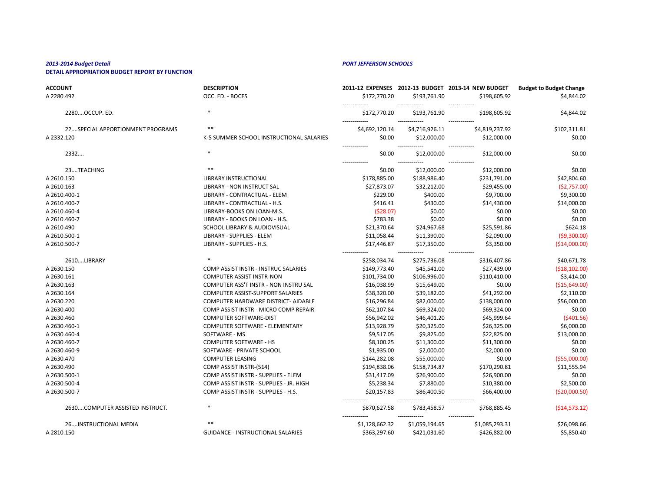| <b>ACCOUNT</b>                   | <b>DESCRIPTION</b>                          |                                 |                                 | 2011-12 EXPENSES 2012-13 BUDGET 2013-14 NEW BUDGET | <b>Budget to Budget Change</b> |
|----------------------------------|---------------------------------------------|---------------------------------|---------------------------------|----------------------------------------------------|--------------------------------|
| A 2280.492                       | OCC. ED. - BOCES                            | \$172,770.20                    | \$193,761.90                    | \$198,605.92                                       | \$4,844.02                     |
| 2280OCCUP. ED.                   | $\ast$                                      | \$172,770.20                    | \$193,761.90                    | -------------<br>\$198,605.92                      | \$4,844.02                     |
| 22SPECIAL APPORTIONMENT PROGRAMS | $***$                                       | -------------<br>\$4,692,120.14 | -------------<br>\$4,716,926.11 | -------------<br>\$4,819,237.92                    | \$102,311.81                   |
| A 2332.120                       | K-5 SUMMER SCHOOL INSTRUCTIONAL SALARIES    | \$0.00                          | \$12,000.00                     | \$12,000.00                                        | \$0.00                         |
| 2332                             | ∗                                           | -------------<br>\$0.00         | \$12,000.00                     | ------------<br>\$12,000.00                        | \$0.00                         |
| 23TEACHING                       | $**$                                        | -------------<br>\$0.00         | \$12,000.00                     | \$12,000.00                                        | \$0.00                         |
| A 2610.150                       | <b>LIBRARY INSTRUCTIONAL</b>                | \$178,885.00                    | \$188,986.40                    | \$231,791.00                                       | \$42,804.60                    |
| A 2610.163                       | <b>LIBRARY - NON INSTRUCT SAL</b>           | \$27,873.07                     | \$32,212.00                     | \$29,455.00                                        | (52,757.00)                    |
| A 2610.400-1                     | LIBRARY - CONTRACTUAL - ELEM                | \$229.00                        | \$400.00                        | \$9,700.00                                         | \$9,300.00                     |
| A 2610.400-7                     | LIBRARY - CONTRACTUAL - H.S.                | \$416.41                        | \$430.00                        | \$14,430.00                                        | \$14,000.00                    |
| A 2610.460-4                     | LIBRARY-BOOKS ON LOAN-M.S.                  | (528.07)                        | \$0.00                          | \$0.00                                             | \$0.00                         |
| A 2610.460-7                     | LIBRARY - BOOKS ON LOAN - H.S.              | \$783.38                        | \$0.00                          | \$0.00                                             | \$0.00                         |
| A 2610.490                       | <b>SCHOOL LIBRARY &amp; AUDIOVISUAL</b>     | \$21,370.64                     | \$24,967.68                     | \$25,591.86                                        | \$624.18                       |
| A 2610.500-1                     | LIBRARY - SUPPLIES - ELEM                   | \$11,058.44                     | \$11,390.00                     | \$2,090.00                                         | (59,300.00)                    |
| A 2610.500-7                     | LIBRARY - SUPPLIES - H.S.                   | \$17,446.87                     | \$17,350.00                     | \$3,350.00                                         | (\$14,000.00]                  |
| 2610LIBRARY                      |                                             | ------------<br>\$258,034.74    | \$275,736.08                    | -------------<br>\$316,407.86                      | \$40,671.78                    |
| A 2630.150                       | <b>COMP ASSIST INSTR - INSTRUC SALARIES</b> | \$149,773.40                    | \$45,541.00                     | \$27,439.00                                        | ( \$18, 102.00)                |
| A 2630.161                       | <b>COMPUTER ASSIST INSTR-NON</b>            | \$101,734.00                    | \$106,996.00                    | \$110,410.00                                       | \$3,414.00                     |
| A 2630.163                       | COMPUTER ASS'T INSTR - NON INSTRU SAL       | \$16,038.99                     | \$15,649.00                     | \$0.00                                             | ( \$15,649.00]                 |
| A 2630.164                       | <b>COMPUTER ASSIST-SUPPORT SALARIES</b>     | \$38,320.00                     | \$39,182.00                     | \$41,292.00                                        | \$2,110.00                     |
| A 2630.220                       | COMPUTER HARDWARE DISTRICT- AIDABLE         | \$16,296.84                     | \$82,000.00                     | \$138,000.00                                       | \$56,000.00                    |
| A 2630.400                       | COMP ASSIST INSTR - MICRO COMP REPAIR       | \$62,107.84                     | \$69,324.00                     | \$69,324.00                                        | \$0.00                         |
| A 2630.460                       | <b>COMPUTER SOFTWARE-DIST</b>               | \$56,942.02                     | \$46,401.20                     | \$45,999.64                                        | (5401.56)                      |
| A 2630.460-1                     | <b>COMPUTER SOFTWARE - ELEMENTARY</b>       | \$13,928.79                     | \$20,325.00                     | \$26,325.00                                        | \$6,000.00                     |
| A 2630.460-4                     | SOFTWARE - MS                               | \$9,517.05                      | \$9,825.00                      | \$22,825.00                                        | \$13,000.00                    |
| A 2630.460-7                     | <b>COMPUTER SOFTWARE - HS</b>               | \$8,100.25                      | \$11,300.00                     | \$11,300.00                                        | \$0.00                         |
| A 2630.460-9                     | SOFTWARE - PRIVATE SCHOOL                   | \$1,935.00                      | \$2,000.00                      | \$2,000.00                                         | \$0.00                         |
| A 2630.470                       | <b>COMPUTER LEASING</b>                     | \$144,282.08                    | \$55,000.00                     | \$0.00                                             | ( \$55,000.00]                 |
| A 2630.490                       | COMP ASSIST INSTR-(514)                     | \$194,838.06                    | \$158,734.87                    | \$170,290.81                                       | \$11,555.94                    |
| A 2630.500-1                     | COMP ASSIST INSTR - SUPPLIES - ELEM         | \$31,417.09                     | \$26,900.00                     | \$26,900.00                                        | \$0.00                         |
| A 2630.500-4                     | COMP ASSIST INSTR - SUPPLIES - JR. HIGH     | \$5,238.34                      | \$7,880.00                      | \$10,380.00                                        | \$2,500.00                     |
| A 2630.500-7                     | COMP ASSIST INSTR - SUPPLIES - H.S.         | \$20,157.83                     | \$86,400.50                     | \$66,400.00                                        | ( \$20,000.50]                 |
| 2630COMPUTER ASSISTED INSTRUCT.  | $\ast$                                      | -------------<br>\$870,627.58   | \$783,458.57                    | -------------<br>\$768,885.45                      | ( \$14,573.12]                 |
| 26INSTRUCTIONAL MEDIA            | $***$                                       | \$1,128,662.32                  | \$1,059,194.65                  | -------------<br>\$1,085,293.31                    | \$26,098.66                    |
| A 2810.150                       | <b>GUIDANCE - INSTRUCTIONAL SALARIES</b>    | \$363,297.60                    | \$421,031.60                    | \$426,882.00                                       | \$5,850.40                     |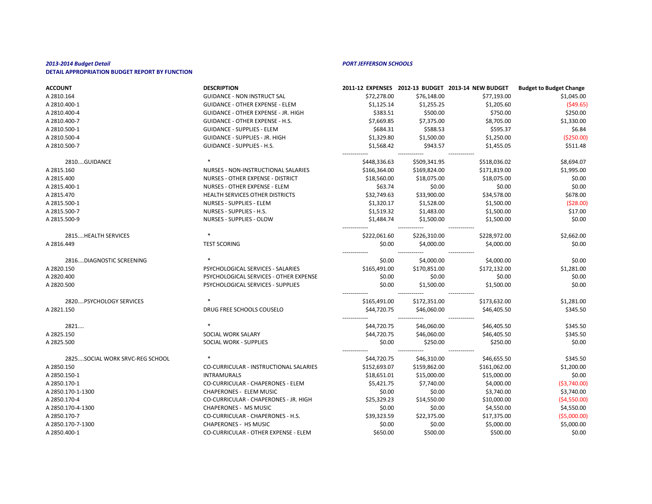| <b>ACCOUNT</b>                  | <b>DESCRIPTION</b>                         |                              |                              | 2011-12 EXPENSES 2012-13 BUDGET 2013-14 NEW BUDGET | <b>Budget to Budget Change</b> |
|---------------------------------|--------------------------------------------|------------------------------|------------------------------|----------------------------------------------------|--------------------------------|
| A 2810.164                      | <b>GUIDANCE - NON INSTRUCT SAL</b>         | \$72,278.00                  | \$76,148.00                  | \$77,193.00                                        | \$1,045.00                     |
| A 2810.400-1                    | <b>GUIDANCE - OTHER EXPENSE - ELEM</b>     | \$1,125.14                   | \$1,255.25                   | \$1,205.60                                         | (549.65)                       |
| A 2810.400-4                    | <b>GUIDANCE - OTHER EXPENSE - JR. HIGH</b> | \$383.51                     | \$500.00                     | \$750.00                                           | \$250.00                       |
| A 2810.400-7                    | <b>GUIDANCE - OTHER EXPENSE - H.S.</b>     | \$7,669.85                   | \$7,375.00                   | \$8,705.00                                         | \$1,330.00                     |
| A 2810.500-1                    | <b>GUIDANCE - SUPPLIES - ELEM</b>          | \$684.31                     | \$588.53                     | \$595.37                                           | \$6.84                         |
| A 2810.500-4                    | <b>GUIDANCE - SUPPLIES - JR. HIGH</b>      | \$1,329.80                   | \$1,500.00                   | \$1,250.00                                         | ( \$250.00]                    |
| A 2810.500-7                    | <b>GUIDANCE - SUPPLIES - H.S.</b>          | \$1,568.42                   | \$943.57                     | \$1,455.05                                         | \$511.48                       |
| 2810GUIDANCE                    | $\ast$                                     | ------------<br>\$448,336.63 | \$509,341.95                 | \$518,036.02                                       | \$8,694.07                     |
| A 2815.160                      | NURSES - NON-INSTRUCTIONAL SALARIES        | \$166,364.00                 | \$169,824.00                 | \$171,819.00                                       | \$1,995.00                     |
| A 2815.400                      | NURSES - OTHER EXPENSE - DISTRICT          | \$18,560.00                  | \$18,075.00                  | \$18,075.00                                        | \$0.00                         |
| A 2815.400-1                    | NURSES - OTHER EXPENSE - ELEM              | \$63.74                      | \$0.00                       | \$0.00                                             | \$0.00                         |
| A 2815.470                      | HEALTH SERVICES OTHER DISTRICTS            | \$32,749.63                  | \$33,900.00                  | \$34,578.00                                        | \$678.00                       |
| A 2815.500-1                    | <b>NURSES - SUPPLIES - ELEM</b>            | \$1,320.17                   | \$1,528.00                   | \$1,500.00                                         | (528.00)                       |
| A 2815.500-7                    | NURSES - SUPPLIES - H.S.                   | \$1,519.32                   | \$1,483.00                   | \$1,500.00                                         | \$17.00                        |
| A 2815.500-9                    | <b>NURSES - SUPPLIES - OLOW</b>            | \$1,484.74                   | \$1,500.00                   | \$1,500.00                                         | \$0.00                         |
| 2815 HEALTH SERVICES            |                                            | \$222,061.60                 | \$226,310.00                 | \$228,972.00                                       | \$2,662.00                     |
| A 2816.449                      | <b>TEST SCORING</b>                        | \$0.00                       | \$4,000.00                   | \$4,000.00                                         | \$0.00                         |
| 2816DIAGNOSTIC SCREENING        |                                            | .<br>\$0.00                  | \$4,000.00                   | \$4,000.00                                         | \$0.00                         |
| A 2820.150                      | PSYCHOLOGICAL SERVICES - SALARIES          | \$165,491.00                 | \$170,851.00                 | \$172,132.00                                       | \$1,281.00                     |
| A 2820.400                      | PSYCHOLOGICAL SERVICES - OTHER EXPENSE     | \$0.00                       | \$0.00                       | \$0.00                                             | \$0.00                         |
| A 2820.500                      | PSYCHOLOGICAL SERVICES - SUPPLIES          | \$0.00                       | \$1,500.00                   | \$1,500.00                                         | \$0.00                         |
| 2820PSYCHOLOGY SERVICES         |                                            | \$165,491.00                 | \$172,351.00                 | \$173,632.00                                       | \$1,281.00                     |
| A 2821.150                      | DRUG FREE SCHOOLS COUSELO                  | \$44,720.75                  | \$46,060.00                  | \$46,405.50                                        | \$345.50                       |
| 2821                            |                                            | \$44,720.75                  | \$46,060.00                  | -------------<br>\$46,405.50                       | \$345.50                       |
| A 2825.150                      | SOCIAL WORK SALARY                         | \$44,720.75                  | \$46,060.00                  | \$46,405.50                                        | \$345.50                       |
| A 2825.500                      | SOCIAL WORK - SUPPLIES                     | \$0.00                       | \$250.00                     | \$250.00                                           | \$0.00                         |
| 2825SOCIAL WORK SRVC-REG SCHOOL | $\ast$                                     | -------------<br>\$44,720.75 | -------------<br>\$46,310.00 | -------------<br>\$46,655.50                       | \$345.50                       |
| A 2850.150                      | CO-CURRICULAR - INSTRUCTIONAL SALARIES     | \$152,693.07                 | \$159,862.00                 | \$161,062.00                                       | \$1,200.00                     |
| A 2850.150-1                    | <b>INTRAMURALS</b>                         | \$18,651.01                  | \$15,000.00                  | \$15,000.00                                        | \$0.00                         |
| A 2850.170-1                    | CO-CURRICULAR - CHAPERONES - ELEM          | \$5,421.75                   | \$7,740.00                   | \$4,000.00                                         | ( \$3,740.00]                  |
| A 2850.170-1-1300               | <b>CHAPERONES - ELEM MUSIC</b>             | \$0.00                       | \$0.00                       | \$3,740.00                                         | \$3,740.00                     |
| A 2850.170-4                    | CO-CURRICULAR - CHAPERONES - JR. HIGH      | \$25,329.23                  | \$14,550.00                  | \$10,000.00                                        | (54, 550.00)                   |
| A 2850.170-4-1300               | <b>CHAPERONES - MS MUSIC</b>               | \$0.00                       | \$0.00                       | \$4,550.00                                         | \$4,550.00                     |
| A 2850.170-7                    | CO-CURRICULAR - CHAPERONES - H.S.          | \$39,323.59                  | \$22,375.00                  | \$17,375.00                                        | ( \$5,000.00]                  |
| A 2850.170-7-1300               | <b>CHAPERONES - HS MUSIC</b>               | \$0.00                       | \$0.00                       | \$5,000.00                                         | \$5,000.00                     |
| A 2850.400-1                    | CO-CURRICULAR - OTHER EXPENSE - ELEM       | \$650.00                     | \$500.00                     | \$500.00                                           | \$0.00                         |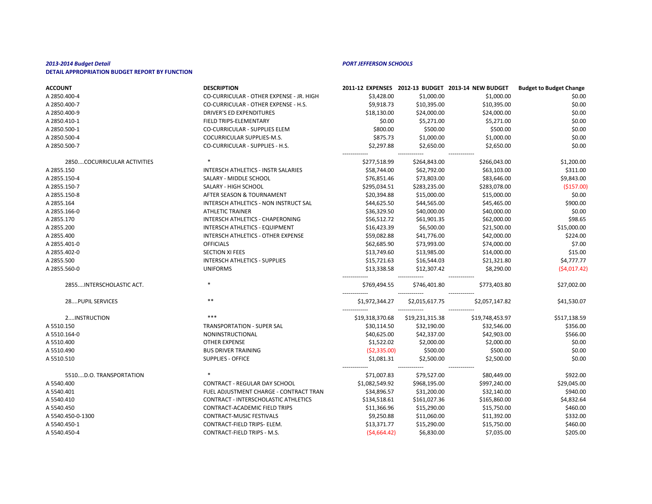| <b>ACCOUNT</b>              | <b>DESCRIPTION</b>                          |                 |                                  | 2011-12 EXPENSES 2012-13 BUDGET 2013-14 NEW BUDGET | <b>Budget to Budget Change</b> |
|-----------------------------|---------------------------------------------|-----------------|----------------------------------|----------------------------------------------------|--------------------------------|
| A 2850.400-4                | CO-CURRICULAR - OTHER EXPENSE - JR. HIGH    | \$3,428.00      | \$1,000.00                       | \$1,000.00                                         | \$0.00                         |
| A 2850.400-7                | CO-CURRICULAR - OTHER EXPENSE - H.S.        | \$9,918.73      | \$10,395.00                      | \$10,395.00                                        | \$0.00                         |
| A 2850.400-9                | <b>DRIVER'S ED EXPENDITURES</b>             | \$18,130.00     | \$24,000.00                      | \$24,000.00                                        | \$0.00                         |
| A 2850.410-1                | FIELD TRIPS-ELEMENTARY                      | \$0.00          | \$5,271.00                       | \$5,271.00                                         | \$0.00                         |
| A 2850.500-1                | <b>CO-CURRICULAR - SUPPLIES ELEM</b>        | \$800.00        | \$500.00                         | \$500.00                                           | \$0.00                         |
| A 2850.500-4                | COCURRICULAR SUPPLIES-M.S.                  | \$875.73        | \$1,000.00                       | \$1,000.00                                         | \$0.00                         |
| A 2850.500-7                | CO-CURRICULAR - SUPPLIES - H.S.             | \$2,297.88      | \$2,650.00                       | \$2,650.00                                         | \$0.00                         |
| 2850COCURRICULAR ACTIVITIES |                                             | \$277,518.99    | \$264,843.00                     | \$266,043.00                                       | \$1,200.00                     |
| A 2855.150                  | <b>INTERSCH ATHLETICS - INSTR SALARIES</b>  | \$58,744.00     | \$62,792.00                      | \$63,103.00                                        | \$311.00                       |
| A 2855.150-4                | SALARY - MIDDLE SCHOOL                      | \$76,851.46     | \$73,803.00                      | \$83,646.00                                        | \$9,843.00                     |
| A 2855.150-7                | SALARY - HIGH SCHOOL                        | \$295,034.51    | \$283,235.00                     | \$283,078.00                                       | (\$157.00)                     |
| A 2855.150-8                | AFTER SEASON & TOURNAMENT                   | \$20,394.88     | \$15,000.00                      | \$15,000.00                                        | \$0.00                         |
| A 2855.164                  | INTERSCH ATHLETICS - NON INSTRUCT SAL       | \$44,625.50     | \$44,565.00                      | \$45,465.00                                        | \$900.00                       |
| A 2855.166-0                | <b>ATHLETIC TRAINER</b>                     | \$36,329.50     | \$40,000.00                      | \$40,000.00                                        | \$0.00                         |
| A 2855.170                  | INTERSCH ATHLETICS - CHAPERONING            | \$56,512.72     | \$61,901.35                      | \$62,000.00                                        | \$98.65                        |
| A 2855.200                  | <b>INTERSCH ATHLETICS - EQUIPMENT</b>       | \$16,423.39     | \$6,500.00                       | \$21,500.00                                        | \$15,000.00                    |
| A 2855.400                  | INTERSCH ATHLETICS - OTHER EXPENSE          | \$59,082.88     | \$41,776.00                      | \$42,000.00                                        | \$224.00                       |
| A 2855.401-0                | <b>OFFICIALS</b>                            | \$62,685.90     | \$73,993.00                      | \$74,000.00                                        | \$7.00                         |
| A 2855.402-0                | <b>SECTION XI FEES</b>                      | \$13,749.60     | \$13,985.00                      | \$14,000.00                                        | \$15.00                        |
| A 2855.500                  | <b>INTERSCH ATHLETICS - SUPPLIES</b>        | \$15,721.63     | \$16,544.03                      | \$21,321.80                                        | \$4,777.77                     |
| A 2855.560-0                | <b>UNIFORMS</b>                             | \$13,338.58     | \$12,307.42                      | \$8,290.00                                         | (54, 017.42)                   |
| 2855INTERSCHOLASTIC ACT.    | $\ast$                                      | \$769,494.55    | \$746,401.80                     | \$773,403.80                                       | \$27,002.00                    |
| 28PUPIL SERVICES            | $***$                                       | \$1,972,344.27  | \$2,015,617.75                   | ------------<br>\$2,057,147.82                     | \$41,530.07                    |
| 2INSTRUCTION                | ***                                         | \$19,318,370.68 | -------------<br>\$19,231,315.38 | -------------<br>\$19,748,453.97                   | \$517,138.59                   |
| A 5510.150                  | <b>TRANSPORTATION - SUPER SAL</b>           | \$30,114.50     | \$32,190.00                      | \$32,546.00                                        | \$356.00                       |
| A 5510.164-0                | NONINSTRUCTIONAL                            | \$40,625.00     | \$42,337.00                      | \$42,903.00                                        | \$566.00                       |
| A 5510.400                  | <b>OTHER EXPENSE</b>                        | \$1,522.02      | \$2,000.00                       | \$2,000.00                                         | \$0.00                         |
| A 5510.490                  | <b>BUS DRIVER TRAINING</b>                  | (52, 335.00)    | \$500.00                         | \$500.00                                           | \$0.00                         |
| A 5510.510                  | <b>SUPPLIES - OFFICE</b>                    | \$1,081.31      | \$2,500.00                       | \$2,500.00                                         | \$0.00                         |
| 5510D.O. TRANSPORTATION     |                                             | \$71,007.83     | \$79,527.00                      | \$80,449.00                                        | \$922.00                       |
| A 5540.400                  | <b>CONTRACT - REGULAR DAY SCHOOL</b>        | \$1,082,549.92  | \$968,195.00                     | \$997,240.00                                       | \$29,045.00                    |
| A 5540.401                  | FUEL ADJUSTMENT CHARGE - CONTRACT TRAN      | \$34,896.57     | \$31,200.00                      | \$32,140.00                                        | \$940.00                       |
| A 5540.410                  | <b>CONTRACT - INTERSCHOLASTIC ATHLETICS</b> | \$134,518.61    | \$161,027.36                     | \$165,860.00                                       | \$4,832.64                     |
| A 5540.450                  | <b>CONTRACT-ACADEMIC FIELD TRIPS</b>        | \$11,366.96     | \$15,290.00                      | \$15,750.00                                        | \$460.00                       |
| A 5540.450-0-1300           | <b>CONTRACT-MUSIC FESTIVALS</b>             | \$9,250.88      | \$11,060.00                      | \$11,392.00                                        | \$332.00                       |
| A 5540.450-1                | CONTRACT-FIELD TRIPS- ELEM.                 | \$13,371.77     | \$15,290.00                      | \$15,750.00                                        | \$460.00                       |
| A 5540.450-4                | CONTRACT-FIELD TRIPS - M.S.                 | (54, 664.42)    | \$6,830.00                       | \$7,035.00                                         | \$205.00                       |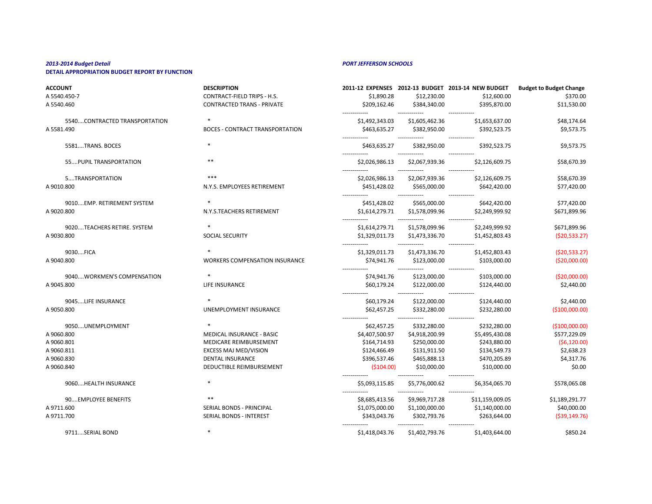**ACCOUNT DESCRIPTION 2011-12 EXPENSES 2012-13 BUDGET 2013-14 NEW BUDGET Budget to Budget Change** A 5540.450-7 CONTRACT-FIELD TRIPS - H.S. \$1,890.28 \$1,890.28 \$12,230.00 \$12,600.00 \$370.00 A 5540.460 CONTRACTED TRANS - PRIVATE \$209,162.46 \$384,340.00 \$395,870.00 \$11,530.00 ------------- ------------- ------------- 5540....CONTRACTED TRANSPORTATION \* \$1,492,343.03 \$1,605,462.36 \$1,653,637.00 \$48,174.64 A 5581.490 BOCES - CONTRACT TRANSPORTATION \$463,635.27 \$382,950.00 \$392,523.75 \$9,573.75 ------------- ------------- ------------- 5581....TRANS. BOCES \* \$463,635.27 \$382,950.00 \$392,523.75 \$9,573.75 ------------- ------------- ------------- 55....PUPIL TRANSPORTATION \*\* \$2,026,986.13 \$2,067,939.36 \$2,126,609.75 \$58,670.39 ------------- ------------- ------------- 5....TRANSPORTATION \*\*\* \$2,026,986.13 \$2,067,939.36 \$2,126,609.75 \$58,670.39 A 9010.800 6542,420.00 S77,420.00 N.Y.S. EMPLOYEES RETIREMENT \$451,428.02 \$565,000.00 \$642,420.00 \$77,420.00 ------------- ------------- ------------- 9010....EMP. RETIREMENT SYSTEM \* \$451,428.02 \$565,000.00 \$642,420.00 \$77,420.00 A 9020.800 S2,249,999.92 Subset of the N.Y.S.TEACHERS RETIREMENT \$1,614,279.71 \$1,578,099.96 \$2,249,999.92 \$671,899.96 ------------- ------------- ------------- 9020....TEACHERS RETIRE. SYSTEM \* \$1,614,279.71 \$1,578,099.96 \$2,249,999.92 \$671,899.96 A 9030.800 SOCIAL SECURITY \$1,329,011.73 \$1,473,336.70 \$1,452,803.43 (\$20,533.27) ------------- ------------- ------------- 9030....FICA \* \$1,329,011.73 \$1,473,336.70 \$1,452,803.43 (\$20,533.27) A 9040.800 CS20,000.00 WORKERS COMPENSATION INSURANCE \$74,941.76 \$123,000.00 \$103,000.00 \$103,000.00 (\$20,000.00) ------------- ------------- ------------- 9040....WORKMEN'S COMPENSATION \* \* \* \* \* \* \* \* \* \* \* \* \* \* \* \* \$74,941.76 \$123,000.00 \$103,000.00 \$103,000.00 \$103,000.00 \$20,000.00 A 9045.800 LIFE INSURANCE \$60,179.24 \$122,000.00 \$124,440.00 \$2,440.00 ------------- ------------- ------------- 9045....LIFE INSURANCE \* \$60,179.24 \$122,000.00 \$124,440.00 \$2,440.00 A 9050.800 CONEMPLOYMENT INSURANCE \$62,457.25 \$332,280.00 \$232,280.00 \$232,280.00 \$200,000.00 \$2100,000.00 ------------- ------------- ------------- 9050....UNEMPLOYMENT \* \$62,457.25 \$332,280.00 \$232,280.00 (\$100,000.00) A 9060.800 CH MEDICAL INSURANCE - BASIC \$4,407,500.97 \$4,918,200.99 \$5,495,430.08 \$577,229.09 A 9060.801 MEDICARE REIMBURSEMENT \$164,714.93 \$250,000.00 \$243,880.00 (\$6,120.00) A 9060.811 **EXCESS MAJ MED/VISION EXCESS MAJ MED/VISION** \$124,466.49 \$131,911.50 \$134,549.73 \$2,638.23 A 9060.830 DENTAL INSURANCE \$396,537.46 \$465,888.13 \$470,205.89 \$4,317.76 A 9060.840 DEDUCTIBLE REIMBURSEMENT (\$104.00) \$10,000.00 \$10,000.00 \$0.00 ------------- ------------- ------------- 9060....HEALTH INSURANCE \* \$5,093,115.85 \$5,776,000.62 \$6,354,065.70 \$578,065.08 ------------- ------------- ------------- 90....EMPLOYEE BENEFITS \*\* \$8,685,413.56 \$9,969,717.28 \$11,159,009.05 \$1,189,291.77 A 9711.600 SERIAL BONDS - PRINCIPAL \$1,075,000.00 \$1,100,000.00 \$1,100,000.00 \$1,140,000.00 \$40,000.00 A 9711.700 SERIAL BONDS - INTEREST \$343,043.76 \$302,793.76 \$263,644.00 (\$39,149.76) ------------- ------------- ------------- 9711....SERIAL BOND \* \$1,418,043.76 \$1,402,793.76 \$1,403,644.00 \$850.24